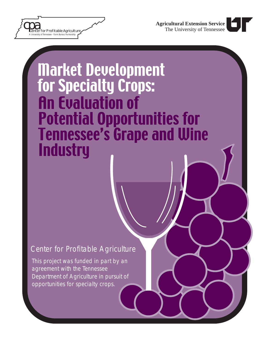

# **Market Development** for Specialty Crops: **An Evaluation of Potential Opportunities for Tennessee's Grape and Wine Industry**

## *Center for Profitable Agriculture*

This project was funded in part by an agreement with the Tennessee Department of Agriculture in pursuit of opportunities for specialty crops.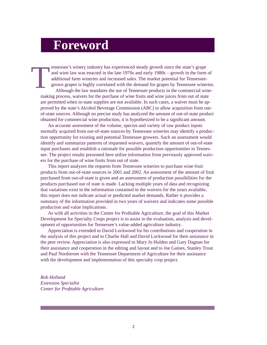## **Foreword**

T ennessee's winery industry has experienced steady growth since the state's grape and wine law was enacted in the late 1970s and early 1980s – growth in the form of additional farm wineries and increased sales. The market potential for Tennesseegrown grapes is highly correlated with the demand for grapes by Tennessee wineries. Although the law mandates the use of Tennessee products in the commercial winemaking process, waivers for the purchase of wine fruits and wine juices from out of state are permitted when in-state supplies are not available. In such cases, a waiver must be approved by the state's Alcohol Beverage Commission (ABC) to allow acquisition from outof-state sources. Although no precise study has analyzed the amount of out-of-state product obtained for commercial wine production, it is hypothesized to be a significant amount.

An accurate assessment of the volume, species and variety of raw product inputs normally acquired from out-of-state sources by Tennessee wineries may identify a production opportunity for existing and potential Tennessee growers. Such an assessment would identify and summarize patterns of requested waivers, quantify the amount of out-of-state input purchases and establish a rationale for possible production opportunities in Tennessee. The project results presented here utilize information from previously approved waivers for the purchase of wine fruits from out of state.

This report analyzes the requests from Tennessee wineries to purchase wine-fruit products from out-of-state sources in 2001 and 2002. An assessment of the amount of fruit purchased from out-of-state is given and an assessment of production possibilities for the products purchased out of state is made. Lacking multiple years of data and recognizing that variations exist in the information contained in the waivers for the years available, this report does not indicate actual or predicted market demands. Rather it provides a summary of the information provided in two years of waivers and indicates some possible production and value implications.

As with all activities in the Center for Profitable Agriculture, the goal of this Market Development for Specialty Crops project is to assist in the evaluation, analysis and development of opportunities for Tennessee's value-added agriculture industry.

Appreciation is extended to David Lockwood for his contributions and cooperation in the analysis of this project and to Charlie Hall and David Lockwood for their assistance in the peer review. Appreciation is also expressed to Mary Jo Holden and Gary Dagnan for their assistance and cooperation in the editing and layout and to Joe Gaines, Stanley Trout and Paul Nordstrom with the Tennessee Department of Agriculture for their assistance with the development and implementation of this specialty crop project.

*Rob Holland Extension Specialist Center for Profi table Agriculture*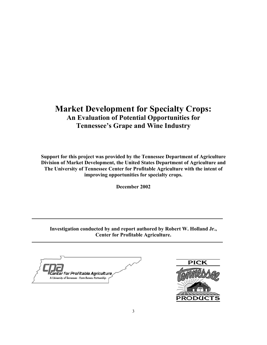#### **Market Development for Specialty Crops: An Evaluation of Potential Opportunities for Tennessee's Grape and Wine Industry**

**Support for this project was provided by the Tennessee Department of Agriculture Division of Market Development, the United States Department of Agriculture and The University of Tennessee Center for Profitable Agriculture with the intent of improving opportunities for specialty crops.** 

**December 2002** 

**Investigation conducted by and report authored by Robert W. Holland Jr., Center for Profitable Agriculture.** 

Center for Profitable Agriculture, A University of Tennessee - Farm Bureau Partnership

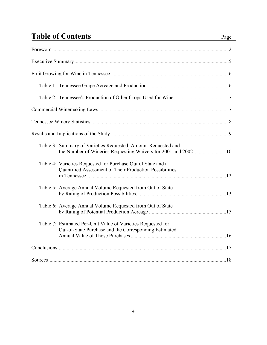## **Table of Contents** Page

| Table 3: Summary of Varieties Requested, Amount Requested and                                                           |  |
|-------------------------------------------------------------------------------------------------------------------------|--|
| Table 4: Varieties Requested for Purchase Out of State and a<br>Quantified Assessment of Their Production Possibilities |  |
| Table 5: Average Annual Volume Requested from Out of State                                                              |  |
| Table 6: Average Annual Volume Requested from Out of State                                                              |  |
| Table 7: Estimated Per-Unit Value of Varieties Requested for<br>Out-of-State Purchase and the Corresponding Estimated   |  |
|                                                                                                                         |  |
|                                                                                                                         |  |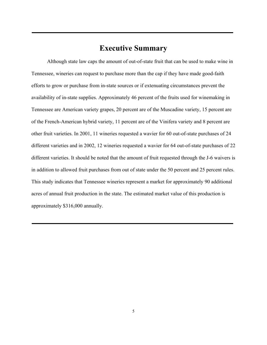#### **Executive Summary**

Although state law caps the amount of out-of-state fruit that can be used to make wine in Tennessee, wineries can request to purchase more than the cap if they have made good-faith efforts to grow or purchase from in-state sources or if extenuating circumstances prevent the availability of in-state supplies. Approximately 46 percent of the fruits used for winemaking in Tennessee are American variety grapes, 20 percent are of the Muscadine variety, 15 percent are of the French-American hybrid variety, 11 percent are of the Vinifera variety and 8 percent are other fruit varieties. In 2001, 11 wineries requested a wavier for 60 out-of-state purchases of 24 different varieties and in 2002, 12 wineries requested a wavier for 64 out-of-state purchases of 22 different varieties. It should be noted that the amount of fruit requested through the J-6 waivers is in addition to allowed fruit purchases from out of state under the 50 percent and 25 percent rules. This study indicates that Tennessee wineries represent a market for approximately 90 additional acres of annual fruit production in the state. The estimated market value of this production is approximately \$316,000 annually.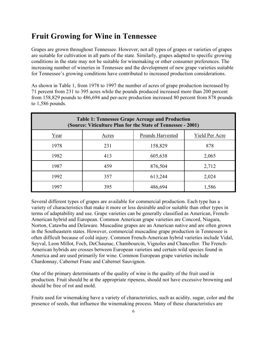### **Fruit Growing for Wine in Tennessee**

Grapes are grown throughout Tennessee. However, not all types of grapes or varieties of grapes are suitable for cultivation in all parts of the state. Similarly, grapes adapted to specific growing conditions in the state may not be suitable for winemaking or other consumer preferences. The increasing number of wineries in Tennessee and the development of new grape varieties suitable for Tennessee's growing conditions have contributed to increased production considerations.

As shown in Table 1, from 1978 to 1997 the number of acres of grape production increased by 71 percent from 231 to 395 acres while the pounds produced increased more than 200 percent from 158,829 pounds to 486,694 and per-acre production increased 80 percent from 878 pounds to 1,586 pounds.

| <b>Table 1: Tennessee Grape Acreage and Production</b><br>(Source: Viticulture Plan for the State of Tennessee - 2001) |       |                  |                |  |
|------------------------------------------------------------------------------------------------------------------------|-------|------------------|----------------|--|
| Year                                                                                                                   | Acres | Pounds Harvested | Yield Per Acre |  |
| 1978                                                                                                                   | 231   | 158,829          | 878            |  |
| 1982                                                                                                                   | 413   | 605,638          | 2,065          |  |
| 1987                                                                                                                   | 459   | 876,504          | 2,712          |  |
| 1992                                                                                                                   | 357   | 613,244          | 2,024          |  |
| 1997                                                                                                                   | 395   | 486,694          | 1,586          |  |

Several different types of grapes are available for commercial production. Each type has a variety of characteristics that make it more or less desirable and/or suitable than other types in terms of adaptability and use. Grape varieties can be generally classified as American, French-American hybrid and European. Common American grape varieties are Concord, Niagara, Norton, Catawba and Delaware. Muscadine grapes are an American native and are often grown in the Southeastern states. However, commercial muscadine grape production in Tennessee is often difficult because of cold injury. Common French-American hybrid varieties include Vidal, Seyval, Leon Millot, Foch, DeChaunac, Chambourcin, Vignoles and Chancellor. The French-American hybrids are crosses between European varieties and certain wild species found in America and are used primarily for wine. Common European grape varieties include Chardonnay, Cabernet Franc and Cabernet Sauvignon.

One of the primary determinants of the quality of wine is the quality of the fruit used in production. Fruit should be at the appropriate ripeness, should not have excessive browning and should be free of rot and mold.

Fruits used for winemaking have a variety of characteristics, such as acidity, sugar, color and the presence of seeds, that influence the winemaking process. Many of these characteristics are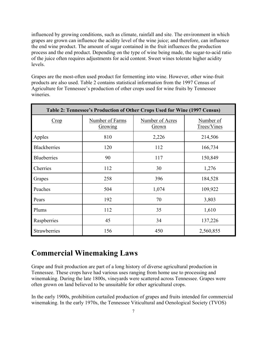influenced by growing conditions, such as climate, rainfall and site. The environment in which grapes are grown can influence the acidity level of the wine juice; and therefore, can influence the end wine product. The amount of sugar contained in the fruit influences the production process and the end product. Depending on the type of wine being made, the sugar-to-acid ratio of the juice often requires adjustments for acid content. Sweet wines tolerate higher acidity levels.

Grapes are the most-often used product for fermenting into wine. However, other wine-fruit products are also used. Table 2 contains statistical information from the 1997 Census of Agriculture for Tennessee's production of other crops used for wine fruits by Tennessee wineries.

| Table 2: Tennessee's Production of Other Crops Used for Wine (1997 Census) |                                   |                                        |                          |  |
|----------------------------------------------------------------------------|-----------------------------------|----------------------------------------|--------------------------|--|
| Crop                                                                       | <b>Number of Farms</b><br>Growing | <b>Number of Acres</b><br><b>Grown</b> | Number of<br>Trees/Vines |  |
| Apples                                                                     | 810                               | 2,226                                  | 214,506                  |  |
| <b>Blackberries</b>                                                        | 120                               | 112                                    | 166,734                  |  |
| <b>Blueberries</b>                                                         | 90                                | 117                                    | 150,849                  |  |
| Cherries                                                                   | 112                               | 30                                     | 1,276                    |  |
| Grapes                                                                     | 258                               | 396                                    | 184,528                  |  |
| Peaches                                                                    | 504                               | 1,074                                  | 109,922                  |  |
| Pears                                                                      | 192                               | 70                                     | 3,803                    |  |
| Plums                                                                      | 112                               | 35                                     | 1,610                    |  |
| Raspberries                                                                | 45                                | 34                                     | 137,226                  |  |
| Strawberries                                                               | 156                               | 450                                    | 2,560,855                |  |

#### **Commercial Winemaking Laws**

Grape and fruit production are part of a long history of diverse agricultural production in Tennessee. These crops have had various uses ranging from home use to processing and winemaking. During the late 1800s, vineyards were scattered across Tennessee. Grapes were often grown on land believed to be unsuitable for other agricultural crops.

In the early 1900s, prohibition curtailed production of grapes and fruits intended for commercial winemaking. In the early 1970s, the Tennessee Viticultural and Oenological Society (TVOS)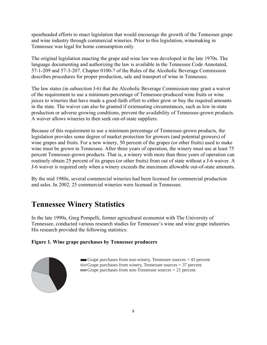spearheaded efforts to enact legislation that would encourage the growth of the Tennessee grape and wine industry through commercial wineries. Prior to this legislation, winemaking in Tennessee was legal for home consumption only.

The original legislation enacting the grape and wine law was developed in the late 1970s. The language documenting and authorizing the law is available in the Tennessee Code Annotated, 57-1-209 and 57-3-207. Chapter 0100-7 of the Rules of the Alcoholic Beverage Commission describes procedures for proper production, sale and transport of wine in Tennessee.

The law states (in subsection J-6) that the Alcoholic Beverage Commission may grant a waiver of the requirement to use a minimum percentage of Tennessee-produced wine fruits or wine juices to wineries that have made a good-faith effort to either grow or buy the required amounts in the state. The waiver can also be granted if extenuating circumstances, such as low in-state production or adverse growing conditions, prevent the availability of Tennessee-grown products. A waiver allows wineries to then seek out-of-state suppliers.

Because of this requirement to use a minimum percentage of Tennessee-grown products, the legislation provides some degree of market protection for growers (and potential growers) of wine grapes and fruits. For a new winery, 50 percent of the grapes (or other fruits) used to make wine must be grown in Tennessee. After three years of operation, the winery must use at least 75 percent Tennessee-grown products. That is, a winery with more than three years of operation can routinely obtain 25 percent of its grapes (or other fruits) from out of state without a J-6 waiver. A J-6 waiver is required only when a winery exceeds the maximum allowable out-of-state amounts.

By the mid 1980s, several commercial wineries had been licensed for commercial production and sales. In 2002, 25 commercial wineries were licensed in Tennessee.

### **Tennessee Winery Statistics**

In the late 1990s, Greg Pompelli, former agricultural economist with The University of Tennessee, conducted various research studies for Tennessee's wine and wine grape industries. His research provided the following statistics:

#### **Figure 1. Wine grape purchases by Tennessee producers**



Grape purchases from non-winery, Tennessee sources  $= 43$  percent Grape purchases from winery, Tennessee sources  $= 37$  percent Grape purchases from non-Tennessee sources = 21 percent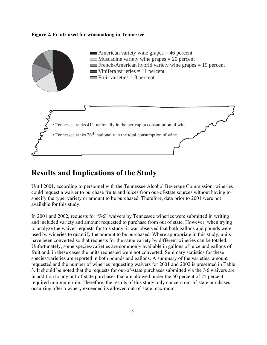#### **Figure 2. Fruits used for winemaking in Tennessee**



#### **Results and Implications of the Study**

Until 2001, according to personnel with the Tennessee Alcohol Beverage Commission, wineries could request a waiver to purchase fruits and juices from out-of-state sources without having to specify the type, variety or amount to be purchased. Therefore, data prior to 2001 were not available for this study.

In 2001 and 2002, requests for "J-6" waivers by Tennessee wineries were submitted in writing and included variety and amount requested to purchase from out of state. However, when trying to analyze the waiver requests for this study, it was observed that both gallons and pounds were used by wineries to quantify the amount to be purchased. Where appropriate in this study, units have been converted so that requests for the same variety by different wineries can be totaled. Unfortunately, some species/varieties are commonly available in gallons of juice and gallons of fruit and, in these cases the units requested were not converted. Summary statistics for these species/varieties are reported in both pounds and gallons. A summary of the varieties, amount requested and the number of wineries requesting waivers for 2001 and 2002 is presented in Table 3. It should be noted that the requests for out-of-state purchases submitted via the J-6 waivers are in addition to any out-of-state purchases that are allowed under the 50 percent of 75 percent required minimum rule. Therefore, the results of this study only concern out-of-state purchases occurring after a winery exceeded its allowed out-of-state maximum.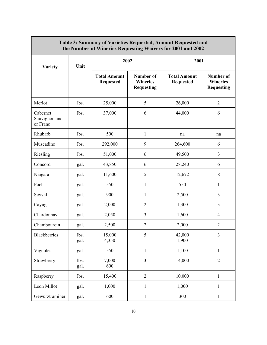| Table 3: Summary of Varieties Requested, Amount Requested and<br>the Number of Wineries Requesting Waivers for 2001 and 2002 |              |                                         |                                                   |                                         |                                                   |
|------------------------------------------------------------------------------------------------------------------------------|--------------|-----------------------------------------|---------------------------------------------------|-----------------------------------------|---------------------------------------------------|
| <b>Variety</b>                                                                                                               | Unit         | 2002                                    |                                                   | 2001                                    |                                                   |
|                                                                                                                              |              | <b>Total Amount</b><br><b>Requested</b> | Number of<br><b>Wineries</b><br><b>Requesting</b> | <b>Total Amount</b><br><b>Requested</b> | Number of<br><b>Wineries</b><br><b>Requesting</b> |
| Merlot                                                                                                                       | lbs.         | 25,000                                  | 5                                                 | 26,000                                  | $\overline{2}$                                    |
| Cabernet<br>Sauvignon and<br>or Franc                                                                                        | lbs.         | 37,000                                  | 6                                                 | 44,000                                  | 6                                                 |
| Rhubarb                                                                                                                      | lbs.         | 500                                     | $\mathbf{1}$                                      | na                                      | na                                                |
| Muscadine                                                                                                                    | lbs.         | 292,000                                 | 9                                                 | 264,600                                 | 6                                                 |
| Riesling                                                                                                                     | lbs.         | 51,000                                  | 6                                                 | 49,500                                  | 3                                                 |
| Concord                                                                                                                      | gal.         | 43,850                                  | 6                                                 | 28,240                                  | 6                                                 |
| Niagara                                                                                                                      | gal.         | 11,600                                  | 5                                                 | 12,672                                  | $8\,$                                             |
| Foch                                                                                                                         | gal.         | 550                                     | $\mathbf{1}$                                      | 550                                     | $\mathbf{1}$                                      |
| Seyval                                                                                                                       | gal.         | 900                                     | $\mathbf{1}$                                      | 2,500                                   | 3                                                 |
| Cayuga                                                                                                                       | gal.         | 2,000                                   | $\overline{2}$                                    | 1,300                                   | $\overline{3}$                                    |
| Chardonnay                                                                                                                   | gal.         | 2,050                                   | $\overline{3}$                                    | 1,600                                   | $\overline{4}$                                    |
| Chambourcin                                                                                                                  | gal.         | 2,500                                   | $\overline{2}$                                    | 2,000                                   | $\overline{2}$                                    |
| Blackberries                                                                                                                 | lbs.<br>gal. | 15,000<br>4,350                         | 5                                                 | 42,000<br>1,900                         | 3                                                 |
| Vignoles                                                                                                                     | gal.         | 550                                     | $\mathbf{1}$                                      | 1,100                                   | $\mathbf{1}$                                      |
| Strawberry                                                                                                                   | lbs.<br>gal. | 7,000<br>600                            | $\overline{3}$                                    | 14,000                                  | $\overline{2}$                                    |
| Raspberry                                                                                                                    | lbs.         | 15,400                                  | $\overline{2}$                                    | 10.000                                  | $\mathbf{1}$                                      |
| Leon Millot                                                                                                                  | gal.         | 1,000                                   | $\mathbf{1}$                                      | 1,000                                   | $\mathbf{1}$                                      |
| Gewurztraminer                                                                                                               | gal.         | 600                                     | $\mathbf{1}$                                      | 300                                     | $\mathbf{1}$                                      |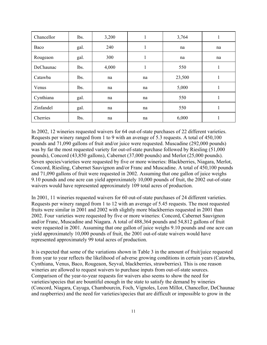| Chancellor | lbs. | 3,200 | 1  | 3,764  | 1  |
|------------|------|-------|----|--------|----|
| Baco       | gal. | 240   | 1  | na     | na |
| Rougeaon   | gal. | 300   | 1  | na     | na |
| DeChaunac  | lbs. | 4,000 |    | 550    | 1  |
| Catawba    | lbs. | na    | na | 23,500 | 1  |
| Venus      | lbs. | na    | na | 5,000  | 1  |
| Cynthiana  | gal. | na    | na | 550    | 1  |
| Zinfandel  | gal. | na    | na | 550    |    |
| Cherries   | lbs. | na    | na | 6,000  | 1  |

In 2002, 12 wineries requested waivers for 64 out-of-state purchases of 22 different varieties. Requests per winery ranged from 1 to 9 with an average of 5.3 requests. A total of 450,100 pounds and 71,090 gallons of fruit and/or juice were requested. Muscadine (292,000 pounds) was by far the most requested variety for out-of-state purchase followed by Riesling (51,000 pounds), Concord (43,850 gallons), Cabernet (37,000 pounds) and Merlot (25,000 pounds). Seven species/varieties were requested by five or more wineries: Blackberries, Niagara, Merlot, Concord, Riesling, Cabernet Sauvignon and/or Franc and Muscadine. A total of 450,100 pounds and 71,090 gallons of fruit were requested in 2002. Assuming that one gallon of juice weighs 9.10 pounds and one acre can yield approximately 10,000 pounds of fruit, the 2002 out-of-state waivers would have represented approximately 109 total acres of production.

In 2001, 11 wineries requested waivers for 60 out-of-state purchases of 24 different varieties. Requests per winery ranged from 1 to 12 with an average of 5.45 requests. The most requested fruits were similar in 2001 and 2002 with slightly more blackberries requested in 2001 than 2002. Four varieties were requested by five or more wineries: Concord, Cabernet Sauvignon and/or Franc, Muscadine and Niagara. A total of 488,364 pounds and 54,812 gallons of fruit were requested in 2001. Assuming that one gallon of juice weighs 9.10 pounds and one acre can yield approximately 10,000 pounds of fruit, the 2001 out-of-state waivers would have represented approximately 99 total acres of production.

It is expected that some of the variations shown in Table 3 in the amount of fruit/juice requested from year to year reflects the likelihood of adverse growing conditions in certain years (Catawba, Cynthiana, Venus, Baco, Rougeaon, Seyval, blackberries, strawberries). This is one reason wineries are allowed to request waivers to purchase inputs from out-of-state sources. Comparison of the year-to-year requests for waivers also seems to show the need for varieties/species that are bountiful enough in the state to satisfy the demand by wineries (Concord, Niagara, Cayuga, Chambourcin, Foch, Vignoles, Leon Millot, Chancellor, DeChaunac and raspberries) and the need for varieties/species that are difficult or impossible to grow in the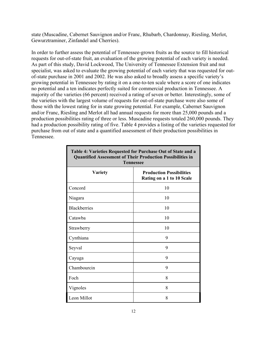state (Muscadine, Cabernet Sauvignon and/or Franc, Rhubarb, Chardonnay, Riesling, Merlot, Gewurztraminer, Zinfandel and Cherries).

In order to further assess the potential of Tennessee-grown fruits as the source to fill historical requests for out-of-state fruit, an evaluation of the growing potential of each variety is needed. As part of this study, David Lockwood, The University of Tennessee Extension fruit and nut specialist, was asked to evaluate the growing potential of each variety that was requested for outof-state purchase in 2001 and 2002. He was also asked to broadly assess a specific variety's growing potential in Tennessee by rating it on a one-to-ten scale where a score of one indicates no potential and a ten indicates perfectly suited for commercial production in Tennessee. A majority of the varieties (66 percent) received a rating of seven or better. Interestingly, some of the varieties with the largest volume of requests for out-of-state purchase were also some of those with the lowest rating for in state growing potential. For example, Cabernet Sauvignon and/or Franc, Riesling and Merlot all had annual requests for more than 25,000 pounds and a production possibilities rating of three or less. Muscadine requests totaled 260,000 pounds. They had a production possibility rating of five. Table 4 provides a listing of the varieties requested for purchase from out of state and a quantified assessment of their production possibilities in Tennessee.

**Table 4: Varieties Requested for Purchase Out of State and a** 

| Table 4: Varieties Requested for Furchase Out of State and a<br><b>Quantified Assessment of Their Production Possibilities in</b><br><b>Tennessee</b> |                                                              |  |  |
|-------------------------------------------------------------------------------------------------------------------------------------------------------|--------------------------------------------------------------|--|--|
| <b>Variety</b>                                                                                                                                        | <b>Production Possibilities</b><br>Rating on a 1 to 10 Scale |  |  |
| Concord                                                                                                                                               | 10                                                           |  |  |
| Niagara                                                                                                                                               | 10                                                           |  |  |
| <b>Blackberries</b>                                                                                                                                   | 10                                                           |  |  |
| Catawba                                                                                                                                               | 10                                                           |  |  |
| Strawberry                                                                                                                                            | 10                                                           |  |  |
| Cynthiana                                                                                                                                             | 9                                                            |  |  |
| Seyval                                                                                                                                                | 9                                                            |  |  |
| Cayuga                                                                                                                                                | 9                                                            |  |  |
| Chambourcin                                                                                                                                           | 9                                                            |  |  |
| Foch                                                                                                                                                  | 8                                                            |  |  |
| Vignoles                                                                                                                                              | 8                                                            |  |  |
| Leon Millot                                                                                                                                           | 8                                                            |  |  |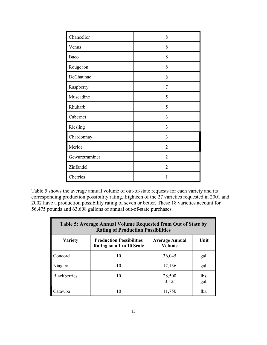| Chancellor     | 8              |
|----------------|----------------|
| Venus          | 8              |
| Baco           | 8              |
| Rougeaon       | 8              |
| DeChaunac      | 8              |
| Raspberry      | $\overline{7}$ |
| Muscadine      | 5              |
| Rhubarb        | 5              |
| Cabernet       | $\overline{3}$ |
| Riesling       | 3              |
| Chardonnay     | 3              |
| Merlot         | $\overline{2}$ |
| Gewurztraminer | $\overline{2}$ |
| Zinfandel      | 2              |
| Cherries       | 1              |

Table 5 shows the average annual volume of out-of-state requests for each variety and its corresponding production possibility rating. Eighteen of the 27 varieties requested in 2001 and 2002 have a production possibility rating of seven or better. These 18 varieties account for 56,475 pounds and 63,608 gallons of annual out-of-state purchases.

| Table 5: Average Annual Volume Requested from Out of State by<br><b>Rating of Production Possibilities</b> |                                                              |                                 |              |  |
|------------------------------------------------------------------------------------------------------------|--------------------------------------------------------------|---------------------------------|--------------|--|
| <b>Variety</b>                                                                                             | <b>Production Possibilities</b><br>Rating on a 1 to 10 Scale | <b>Average Annual</b><br>Volume | Unit         |  |
| Concord                                                                                                    | 10                                                           | 36,045                          | gal.         |  |
| Niagara                                                                                                    | 10                                                           | 12,136                          | gal.         |  |
| <b>Blackberries</b>                                                                                        | 10                                                           | 28,500<br>3,125                 | lbs.<br>gal. |  |
| Catawha                                                                                                    | 10                                                           | 11,750                          | lbs.         |  |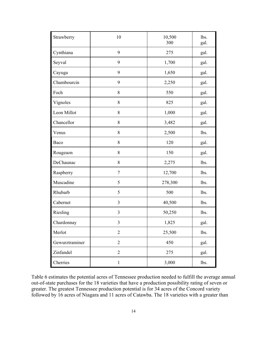| Strawberry     | 10             | 10,500<br>300 |      |
|----------------|----------------|---------------|------|
| Cynthiana      | 9              | 275           | gal. |
| Seyval         | 9              | 1,700         | gal. |
| Cayuga         | 9              | 1,650         | gal. |
| Chambourcin    | 9              | 2,250         | gal. |
| Foch           | 8              | 550           | gal. |
| Vignoles       | 8              | 825           | gal. |
| Leon Millot    | 8              | 1,000         | gal. |
| Chancellor     | 8              | 3,482         | gal. |
| Venus          | 8              | 2,500         | lbs. |
| Baco           | 8              | 120           | gal. |
| Rougeaon       | 8              | 150           | gal. |
| DeChaunac      | 8              | 2,275         | lbs. |
| Raspberry      | $\overline{7}$ | 12,700        | lbs. |
| Muscadine      | 5              | 278,300       | lbs. |
| Rhubarb        | 5              | 500           | lbs. |
| Cabernet       | 3              | 40,500        | lbs. |
| Riesling       | $\mathfrak{Z}$ | 50,250        | lbs. |
| Chardonnay     | $\mathfrak{Z}$ | 1,825         | gal. |
| Merlot         | $\sqrt{2}$     | 25,500        | lbs. |
| Gewurztraminer | $\overline{2}$ | 450           | gal. |
| Zinfandel      | $\mathfrak{2}$ | 275           | gal. |
| Cherries       | $\mathbf{1}$   | 3,000         | lbs. |

Table 6 estimates the potential acres of Tennessee production needed to fulfill the average annual out-of-state purchases for the 18 varieties that have a production possibility rating of seven or greater. The greatest Tennessee production potential is for 34 acres of the Concord variety followed by 16 acres of Niagara and 11 acres of Catawba. The 18 varieties with a greater than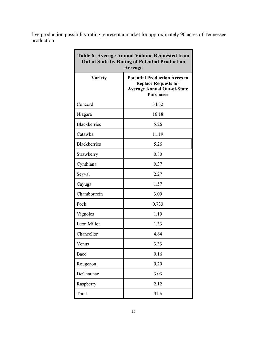five production possibility rating represent a market for approximately 90 acres of Tennessee production.

| <b>Table 6: Average Annual Volume Requested from</b><br><b>Out of State by Rating of Potential Production</b><br>Acreage |                                                                                                                               |  |  |
|--------------------------------------------------------------------------------------------------------------------------|-------------------------------------------------------------------------------------------------------------------------------|--|--|
| <b>Variety</b>                                                                                                           | <b>Potential Production Acres to</b><br><b>Replace Requests for</b><br><b>Average Annual Out-of-State</b><br><b>Purchases</b> |  |  |
| Concord                                                                                                                  | 34.32                                                                                                                         |  |  |
| Niagara                                                                                                                  | 16.18                                                                                                                         |  |  |
| <b>Blackberries</b>                                                                                                      | 5.26                                                                                                                          |  |  |
| Catawba                                                                                                                  | 11.19                                                                                                                         |  |  |
| <b>Blackberries</b>                                                                                                      | 5.26                                                                                                                          |  |  |
| Strawberry                                                                                                               | 0.80                                                                                                                          |  |  |
| Cynthiana                                                                                                                | 0.37                                                                                                                          |  |  |
| Seyval                                                                                                                   | 2.27                                                                                                                          |  |  |
| Cayuga                                                                                                                   | 1.57                                                                                                                          |  |  |
| Chambourcin                                                                                                              | 3.00                                                                                                                          |  |  |
| Foch                                                                                                                     | 0.733                                                                                                                         |  |  |
| Vignoles                                                                                                                 | 1.10                                                                                                                          |  |  |
| Leon Millot                                                                                                              | 1.33                                                                                                                          |  |  |
| Chancellor                                                                                                               | 4.64                                                                                                                          |  |  |
| Venus                                                                                                                    | 3.33                                                                                                                          |  |  |
| Baco                                                                                                                     | 0.16                                                                                                                          |  |  |
| Rougeaon                                                                                                                 | 0.20                                                                                                                          |  |  |
| DeChaunac                                                                                                                | 3.03                                                                                                                          |  |  |
| Raspberry                                                                                                                | 2.12                                                                                                                          |  |  |
| Total                                                                                                                    | 91.6                                                                                                                          |  |  |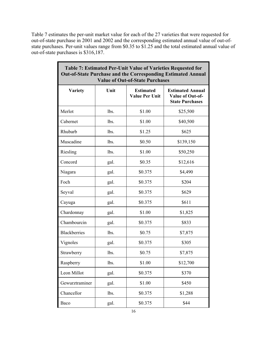Table 7 estimates the per-unit market value for each of the 27 varieties that were requested for out-of-state purchase in 2001 and 2002 and the corresponding estimated annual value of out-ofstate purchases. Per-unit values range from \$0.35 to \$1.25 and the total estimated annual value of out-of-state purchases is \$316,187.

٦

| Table 7: Estimated Per-Unit Value of Varieties Requested for<br><b>Out-of-State Purchase and the Corresponding Estimated Annual</b><br><b>Value of Out-of-State Purchases</b> |      |                                           |                                                                       |  |
|-------------------------------------------------------------------------------------------------------------------------------------------------------------------------------|------|-------------------------------------------|-----------------------------------------------------------------------|--|
| <b>Variety</b>                                                                                                                                                                | Unit | <b>Estimated</b><br><b>Value Per Unit</b> | <b>Estimated Annual</b><br>Value of Out-of-<br><b>State Purchases</b> |  |
| Merlot                                                                                                                                                                        | lbs. | \$1.00                                    | \$25,500                                                              |  |
| Cabernet                                                                                                                                                                      | lbs. | \$1.00                                    | \$40,500                                                              |  |
| Rhubarb                                                                                                                                                                       | lbs. | \$1.25                                    | \$625                                                                 |  |
| Muscadine                                                                                                                                                                     | lbs. | \$0.50                                    | \$139,150                                                             |  |
| Riesling                                                                                                                                                                      | lbs. | \$1.00                                    | \$50,250                                                              |  |
| Concord                                                                                                                                                                       | gal. | \$0.35                                    | \$12,616                                                              |  |
| Niagara                                                                                                                                                                       | gal. | \$0.375                                   | \$4,490                                                               |  |
| Foch                                                                                                                                                                          | gal. | \$0.375                                   | \$204                                                                 |  |
| Seyval                                                                                                                                                                        | gal. | \$0.375                                   | \$629                                                                 |  |
| Cayuga                                                                                                                                                                        | gal. | \$0.375                                   | \$611                                                                 |  |
| Chardonnay                                                                                                                                                                    | gal. | \$1.00                                    | \$1,825                                                               |  |
| Chambourcin                                                                                                                                                                   | gal. | \$0.375                                   | \$833                                                                 |  |
| <b>Blackberries</b>                                                                                                                                                           | lbs. | \$0.75                                    | \$7,875                                                               |  |
| Vignoles                                                                                                                                                                      | gal. | \$0.375                                   | \$305                                                                 |  |
| Strawberry                                                                                                                                                                    | lbs. | \$0.75                                    | \$7,875                                                               |  |
| Raspberry                                                                                                                                                                     | lbs. | \$1.00                                    | \$12,700                                                              |  |
| Leon Millot                                                                                                                                                                   | gal. | \$0.375                                   | \$370                                                                 |  |
| Gewurztraminer                                                                                                                                                                | gal. | \$1.00                                    | \$450                                                                 |  |
| Chancellor                                                                                                                                                                    | lbs. | \$0.375                                   | \$1,288                                                               |  |
| Baco                                                                                                                                                                          | gal. | \$0.375                                   | \$44                                                                  |  |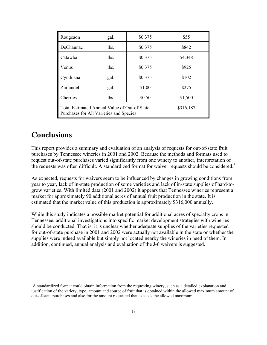| Rougeaon                                                                                | gal.      | \$0.375 | \$55    |
|-----------------------------------------------------------------------------------------|-----------|---------|---------|
| DeChaunac                                                                               | lbs.      | \$0.375 | \$842   |
| Catawba                                                                                 | lbs.      | \$0.375 | \$4,348 |
| Venus                                                                                   | lbs.      | \$0.375 | \$925   |
| Cynthiana                                                                               | gal.      | \$0.375 | \$102   |
| Zinfandel                                                                               | gal.      | \$1.00  | \$275   |
| Cherries                                                                                | lbs.      | \$0.50  | \$1,500 |
| Total Estimated Annual Value of Out-of-State<br>Purchases for All Varieties and Species | \$316,187 |         |         |

#### **Conclusions**

This report provides a summary and evaluation of an analysis of requests for out-of-state fruit purchases by Tennessee wineries in 2001 and 2002. Because the methods and formats used to request out-of-state purchases varied significantly from one winery to another, interpretation of the requests was often difficult. A standardized format for waiver requests should be considered.<sup>1</sup>

As expected, requests for waivers seem to be influenced by changes in growing conditions from year to year, lack of in-state production of some varieties and lack of in-state supplies of hard-togrow varieties. With limited data (2001 and 2002) it appears that Tennessee wineries represent a market for approximately 90 additional acres of annual fruit production in the state. It is estimated that the market value of this production is approximately \$316,000 annually.

While this study indicates a possible market potential for additional acres of specialty crops in Tennessee, additional investigations into specific market development strategies with wineries should be conducted. That is, it is unclear whether adequate supplies of the varieties requested for out-of-state purchase in 2001 and 2002 were actually not available in the state or whether the supplies were indeed available but simply not located nearby the wineries in need of them. In addition, continued, annual analysis and evaluation of the J-6 waivers is suggested.

<sup>&</sup>lt;sup>1</sup>A standardized format could obtain information from the requesting winery, such as a detailed explanation and justification of the variety, type, amount and source of fruit that is obtained within the allowed maximum amount of out-of-state purchases and also for the amount requested that exceeds the allowed maximum.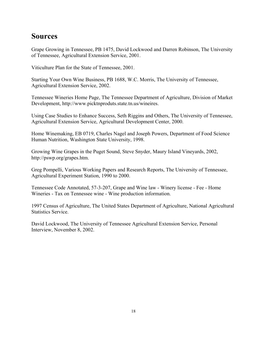### **Sources**

Grape Growing in Tennessee, PB 1475, David Lockwood and Darren Robinson, The University of Tennessee, Agricultural Extension Service, 2001.

Viticulture Plan for the State of Tennessee, 2001.

Starting Your Own Wine Business, PB 1688, W.C. Morris, The University of Tennessee, Agricultural Extension Service, 2002.

Tennessee Wineries Home Page, The Tennessee Department of Agriculture, Division of Market Development, http://www.picktnproduts.state.tn.us/wineires.

Using Case Studies to Enhance Success, Seth Riggins and Others, The University of Tennessee, Agricultural Extension Service, Agricultural Development Center, 2000.

Home Winemaking, EB 0719, Charles Nagel and Joseph Powers, Department of Food Science Human Nutrition, Washington State University, 1998.

Growing Wine Grapes in the Puget Sound, Steve Snyder, Maury Island Vineyards, 2002, http://pswp.org/grapes.htm.

Greg Pompelli, Various Working Papers and Research Reports, The University of Tennessee, Agricultural Experiment Station, 1990 to 2000.

Tennessee Code Annotated, 57-3-207, Grape and Wine law - Winery license - Fee - Home Wineries - Tax on Tennessee wine - Wine production information.

1997 Census of Agriculture, The United States Department of Agriculture, National Agricultural Statistics Service.

David Lockwood, The University of Tennessee Agricultural Extension Service, Personal Interview, November 8, 2002.